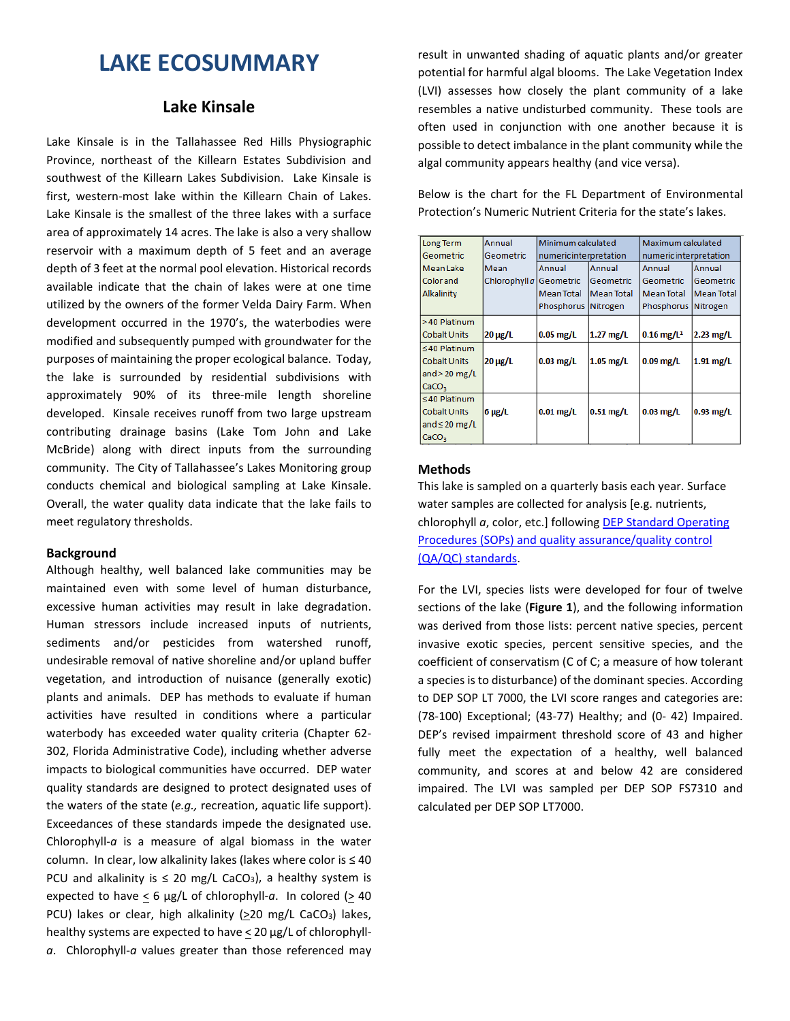# **LAKE ECOSUMMARY**

## **Lake Kinsale**

Lake Kinsale is in the Tallahassee Red Hills Physiographic Province, northeast of the Killearn Estates Subdivision and southwest of the Killearn Lakes Subdivision. Lake Kinsale is first, western-most lake within the Killearn Chain of Lakes. Lake Kinsale is the smallest of the three lakes with a surface area of approximately 14 acres. The lake is also a very shallow reservoir with a maximum depth of 5 feet and an average depth of 3 feet at the normal pool elevation. Historical records available indicate that the chain of lakes were at one time utilized by the owners of the former Velda Dairy Farm. When development occurred in the 1970's, the waterbodies were modified and subsequently pumped with groundwater for the purposes of maintaining the proper ecological balance. Today, the lake is surrounded by residential subdivisions with approximately 90% of its three-mile length shoreline developed. Kinsale receives runoff from two large upstream contributing drainage basins (Lake Tom John and Lake McBride) along with direct inputs from the surrounding community. The City of Tallahassee's Lakes Monitoring group conducts chemical and biological sampling at Lake Kinsale. Overall, the water quality data indicate that the lake fails to meet regulatory thresholds.

### **Background**

Although healthy, well balanced lake communities may be maintained even with some level of human disturbance, excessive human activities may result in lake degradation. Human stressors include increased inputs of nutrients, sediments and/or pesticides from watershed runoff, undesirable removal of native shoreline and/or upland buffer vegetation, and introduction of nuisance (generally exotic) plants and animals. DEP has methods to evaluate if human activities have resulted in conditions where a particular waterbody has exceeded water quality criteria (Chapter 62- 302, Florida Administrative Code), including whether adverse impacts to biological communities have occurred. DEP water quality standards are designed to protect designated uses of the waters of the state (*e.g.,* recreation, aquatic life support). Exceedances of these standards impede the designated use. Chlorophyll-*a* is a measure of algal biomass in the water column. In clear, low alkalinity lakes (lakes where color is ≤ 40 PCU and alkalinity is  $\leq$  20 mg/L CaCO<sub>3</sub>), a healthy system is expected to have  $\leq 6$  µg/L of chlorophyll-a. In colored ( $\geq 40$ ) PCU) lakes or clear, high alkalinity  $(220 \text{ mg/L } CaCO_3)$  lakes, healthy systems are expected to have < 20 µg/L of chlorophyll*a*. Chlorophyll-*a* values greater than those referenced may

result in unwanted shading of aquatic plants and/or greater potential for harmful algal blooms. The Lake Vegetation Index (LVI) assesses how closely the plant community of a lake resembles a native undisturbed community. These tools are often used in conjunction with one another because it is possible to detect imbalance in the plant community while the algal community appears healthy (and vice versa).

Below is the chart for the FL Department of Environmental Protection's Numeric Nutrient Criteria for the state's lakes.

| Long Term           | Annual                  | Minimum calculated     |                   | Maximum calculated       |                   |
|---------------------|-------------------------|------------------------|-------------------|--------------------------|-------------------|
| Geometric           | Geometric               | numeric interpretation |                   | numeric interpretation   |                   |
| <b>Mean Lake</b>    | Mean                    | Annual                 | Annual            | Annual                   | Annual            |
| <b>Color</b> and    | Chlorophyll a Geometric |                        | Geometric         | Geometric                | Geometric         |
| Alkalinity          |                         | <b>Mean Total</b>      | <b>Mean Total</b> | <b>Mean Total</b>        | <b>Mean Total</b> |
|                     |                         | Phosphorus Nitrogen    |                   | Phosphorus Nitrogen      |                   |
| >40 Platinum        |                         |                        |                   |                          |                   |
| <b>Cobalt Units</b> | $20 \mu g/L$            | $0.05$ mg/L            | $1.27$ mg/L       | $0.16$ mg/L <sup>1</sup> | $2.23$ mg/L       |
| $\leq 40$ Platinum  |                         |                        |                   |                          |                   |
| <b>Cobalt Units</b> | $20 \mu g/L$            | $0.03$ mg/L            | $1.05$ mg/L       | $0.09$ mg/L              | $1.91$ mg/L       |
| and $>$ 20 mg/L     |                         |                        |                   |                          |                   |
| CaCO <sub>3</sub>   |                         |                        |                   |                          |                   |
| $\leq$ 40 Platinum  |                         |                        |                   |                          |                   |
| <b>Cobalt Units</b> | $6 \mu g/L$             | $0.01$ mg/L            | $0.51$ mg/L       | $0.03$ mg/L              | $0.93$ mg/L       |
| and $\leq 20$ mg/L  |                         |                        |                   |                          |                   |
| CaCO <sub>3</sub>   |                         |                        |                   |                          |                   |

#### **Methods**

This lake is sampled on a quarterly basis each year. Surface water samples are collected for analysis [e.g. nutrients, chlorophyll *a*, color, etc.] following [DEP Standard Operating](http://www.dep.state.fl.us/water/sas/qa/sops.htm)  [Procedures \(SOPs\) and quality assurance/quality control](http://www.dep.state.fl.us/water/sas/qa/sops.htm)  [\(QA/QC\) standards.](http://www.dep.state.fl.us/water/sas/qa/sops.htm)

For the LVI, species lists were developed for four of twelve sections of the lake (**Figure 1**), and the following information was derived from those lists: percent native species, percent invasive exotic species, percent sensitive species, and the coefficient of conservatism (C of C; a measure of how tolerant a species is to disturbance) of the dominant species. According to DEP SOP LT 7000, the LVI score ranges and categories are: (78-100) Exceptional; (43-77) Healthy; and (0- 42) Impaired. DEP's revised impairment threshold score of 43 and higher fully meet the expectation of a healthy, well balanced community, and scores at and below 42 are considered impaired. The LVI was sampled per DEP SOP FS7310 and calculated per DEP SOP LT7000.